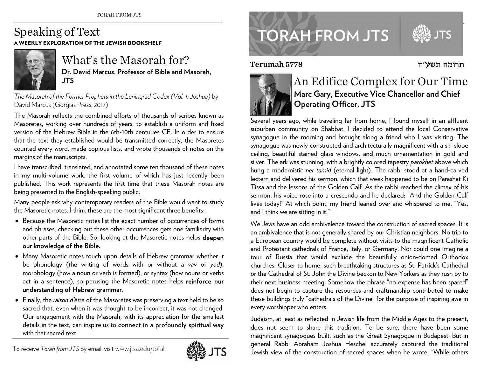## Speaking of Text A WEEKLY EXPLORATION OF THE JEWISH BOOKSHELF



## What's the Masorah for? **Dr. David Marcus, Professor of Bible and Masorah, JTS**

*The Masorah of the Former Prophets in the Leningrad Codex (Vol. 1: Joshua)* by David Marcus (Gorgias Press, 2017)

The Masorah reflects the combined efforts of thousands of scribes known as Masoretes, working over hundreds of years, to establish a uniform and fixed version of the Hebrew Bible in the 6th-10th centuries CE. In order to ensure that the text they established would be transmitted correctly, the Masoretes counted every word, made copious lists, and wrote thousands of notes on the margins of the manuscripts.

I have transcribed, translated, and annotated some ten thousand of these notes in my multi-volume work, the first volume of which has just recently been published. This work represents the first time that these Masorah notes are being presented to the English-speaking public.

Many people ask why contemporary readers of the Bible would want to study the Masoretic notes. I think these are the most significant three benefits:

- $\bullet~$  Because the Masoretic notes list the exact number of occurrences of forms and phrases, checking out these other occurrences gets one familiarity with other parts of the Bible. So, looking at the Masoretic notes helps deepen our knowledge of the Bible.
- Many Masoretic notes touch upon details of Hebrew grammar whether it be phonology (the writing of words with or without a *vav* or *yod*); morphology (how a noun or verb is formed); or syntax (how nouns or verbs act in a sentence), so perusing the Masoretic notes helps reinforce our understanding of Hebrew grammar.
- Finally, the *raison d'être* of the Masoretes was preserving a text held to be so sacred that, even when it was thought to be incorrect, it was not changed. Our engagement with the Masorah, with its appreciation for the smallest details in the text, can inspire us to connect in a profoundly spiritual way with that sacred text.



## **TORAH FROM JTS**

Terumah 5778



## An Edifice Complex for Our Time **Marc Gary, Executive Vice Chancellor and Chief Operating Officer, JTS**

תרומה תשע"ח

Several years ago, while traveling far from home, I found myself in an affluent suburban community on Shabbat. I decided to attend the local Conservative synagogue in the morning and brought along a friend who I was visiting. The synagogue was newly constructed and architecturally magnificent with a ski-slope ceiling, beautiful stained glass windows, and much ornamentation in gold and silver. The ark was stunning, with a brightly colored tapestry *parokhet* above which hung a modernistic *ner tamid* (eternal light). The rabbi stood at a hand-carved lectern and delivered his sermon, which that week happened to be on Parashat Ki Tissa and the lessons of the Golden Calf. As the rabbi reached the climax of his sermon, his voice rose into a crescendo and he declared: "And the Golden Calf lives today!" At which point, my friend leaned over and whispered to me, "Yes, and I think we are sitting in it."

We Jews have an odd ambivalence toward the construction of sacred spaces. It is an ambivalence that is not generally shared by our Christian neighbors. No trip to a European country would be complete without visits to the magnificent Catholic and Protestant cathedrals of France, Italy, or Germany. Nor could one imagine a tour of Russia that would exclude the beautifully onion-domed Orthodox churches. Closer to home, such breathtaking structures as St. Patrick's Cathedral or the Cathedral of St. John the Divine beckon to New Yorkers as they rush by to their next business meeting. Somehow the phrase "no expense has been spared" does not begin to capture the resources and craftmanship contributed to make these buildings truly "cathedrals of the Divine" for the purpose of inspiring awe in every worshipper who enters.

Judaism, at least as reflected in Jewish life from the Middle Ages to the present, does not seem to share this tradition. To be sure, there have been some magnificent synagogues built, such as the Great Synagogue in Budapest. But in general Rabbi Abraham Joshua Heschel accurately captured the traditional Jewish view of the construction of sacred spaces when he wrote: "While others